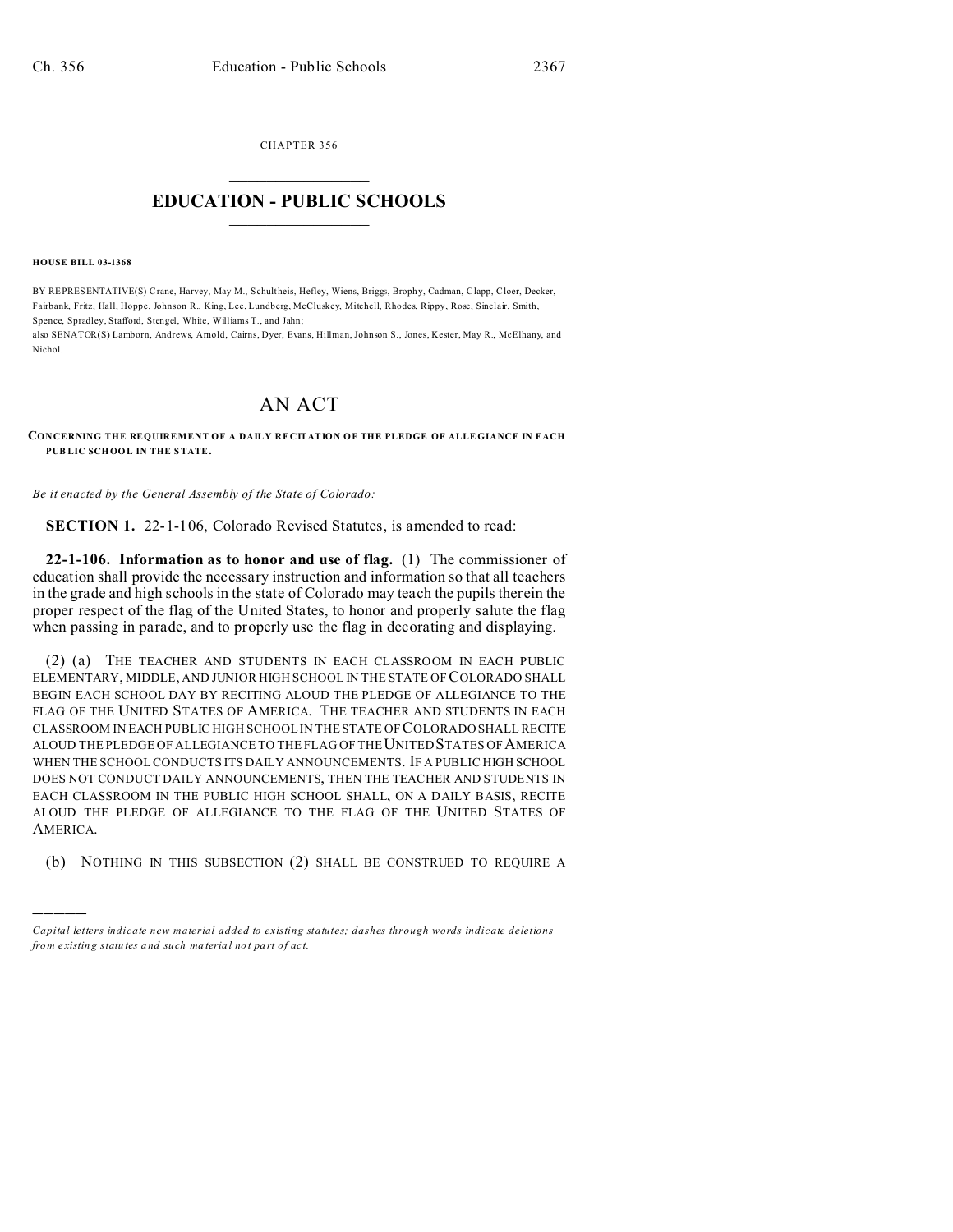CHAPTER 356  $\overline{\phantom{a}}$  , where  $\overline{\phantom{a}}$ 

## **EDUCATION - PUBLIC SCHOOLS**  $\_$   $\_$   $\_$   $\_$   $\_$   $\_$   $\_$   $\_$   $\_$

**HOUSE BILL 03-1368**

)))))

BY REPRESENTATIVE(S) Crane, Harvey, May M., Schultheis, Hefley, Wiens, Briggs, Brophy, Cadman, Clapp, Cloer, Decker, Fairbank, Fritz, Hall, Hoppe, Johnson R., King, Lee, Lundberg, McCluskey, Mitchell, Rhodes, Rippy, Rose, Sinclair, Smith, Spence, Spradley, Stafford, Stengel, White, Williams T., and Jahn;

also SENATOR(S) Lamborn, Andrews, Arnold, Cairns, Dyer, Evans, Hillman, Johnson S., Jones, Kester, May R., McElhany, and Nichol.

## AN ACT

**CONCERNING THE REQUIREMENT OF A DAILY RECITATION OF THE PLEDGE OF ALLE GIANCE IN EACH PUB LIC SCHOOL IN THE STATE.**

*Be it enacted by the General Assembly of the State of Colorado:*

**SECTION 1.** 22-1-106, Colorado Revised Statutes, is amended to read:

**22-1-106. Information as to honor and use of flag.** (1) The commissioner of education shall provide the necessary instruction and information so that all teachers in the grade and high schools in the state of Colorado may teach the pupils therein the proper respect of the flag of the United States, to honor and properly salute the flag when passing in parade, and to properly use the flag in decorating and displaying.

(2) (a) THE TEACHER AND STUDENTS IN EACH CLASSROOM IN EACH PUBLIC ELEMENTARY, MIDDLE, AND JUNIOR HIGH SCHOOL IN THE STATE OF COLORADO SHALL BEGIN EACH SCHOOL DAY BY RECITING ALOUD THE PLEDGE OF ALLEGIANCE TO THE FLAG OF THE UNITED STATES OF AMERICA. THE TEACHER AND STUDENTS IN EACH CLASSROOM IN EACH PUBLIC HIGH SCHOOL IN THE STATE OF COLORADO SHALL RECITE ALOUD THE PLEDGE OF ALLEGIANCE TO THE FLAG OF THE UNITED STATES OF AMERICA WHEN THE SCHOOL CONDUCTS ITS DAILY ANNOUNCEMENTS. IF A PUBLIC HIGH SCHOOL DOES NOT CONDUCT DAILY ANNOUNCEMENTS, THEN THE TEACHER AND STUDENTS IN EACH CLASSROOM IN THE PUBLIC HIGH SCHOOL SHALL, ON A DAILY BASIS, RECITE ALOUD THE PLEDGE OF ALLEGIANCE TO THE FLAG OF THE UNITED STATES OF AMERICA.

(b) NOTHING IN THIS SUBSECTION (2) SHALL BE CONSTRUED TO REQUIRE A

*Capital letters indicate new material added to existing statutes; dashes through words indicate deletions from e xistin g statu tes a nd such ma teria l no t pa rt of ac t.*